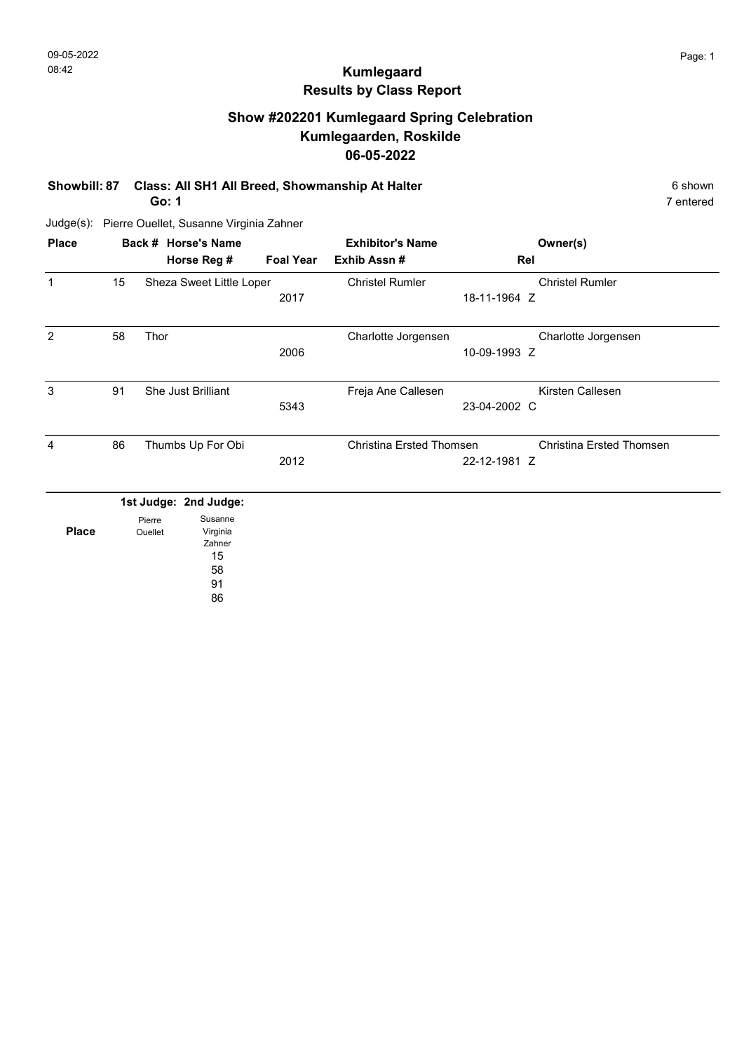# Show #202201 Kumlegaard Spring Celebration Kumlegaarden, Roskilde 06-05-2022

Showbill: 87 Class: All SH1 All Breed, Showmanship At Halter 6 shown 6 shown

Go: 1

7 entered

| <b>Place</b> |    |                   | Back # Horse's Name           |                  | <b>Exhibitor's Name</b>  |              | Owner(s)                        |
|--------------|----|-------------------|-------------------------------|------------------|--------------------------|--------------|---------------------------------|
|              |    |                   | Horse Reg #                   | <b>Foal Year</b> | Exhib Assn #             | Rel          |                                 |
| $\mathbf{1}$ | 15 |                   | Sheza Sweet Little Loper      |                  | <b>Christel Rumler</b>   |              | <b>Christel Rumler</b>          |
|              |    |                   |                               | 2017             |                          | 18-11-1964 Z |                                 |
| 2            | 58 | Thor              |                               |                  | Charlotte Jorgensen      |              | Charlotte Jorgensen             |
|              |    |                   |                               | 2006             |                          | 10-09-1993 Z |                                 |
| 3            | 91 |                   | She Just Brilliant            |                  | Freja Ane Callesen       |              | Kirsten Callesen                |
|              |    |                   |                               | 5343             |                          | 23-04-2002 C |                                 |
| 4            | 86 |                   | Thumbs Up For Obi             |                  | Christina Ersted Thomsen |              | <b>Christina Ersted Thomsen</b> |
|              |    |                   |                               | 2012             |                          | 22-12-1981 Z |                                 |
|              |    |                   | 1st Judge: 2nd Judge:         |                  |                          |              |                                 |
| <b>Place</b> |    | Pierre<br>Ouellet | Susanne<br>Virginia<br>Zahner |                  |                          |              |                                 |
|              |    |                   | 15                            |                  |                          |              |                                 |
|              |    |                   | 58                            |                  |                          |              |                                 |
|              |    |                   | 91                            |                  |                          |              |                                 |
|              |    |                   | 86                            |                  |                          |              |                                 |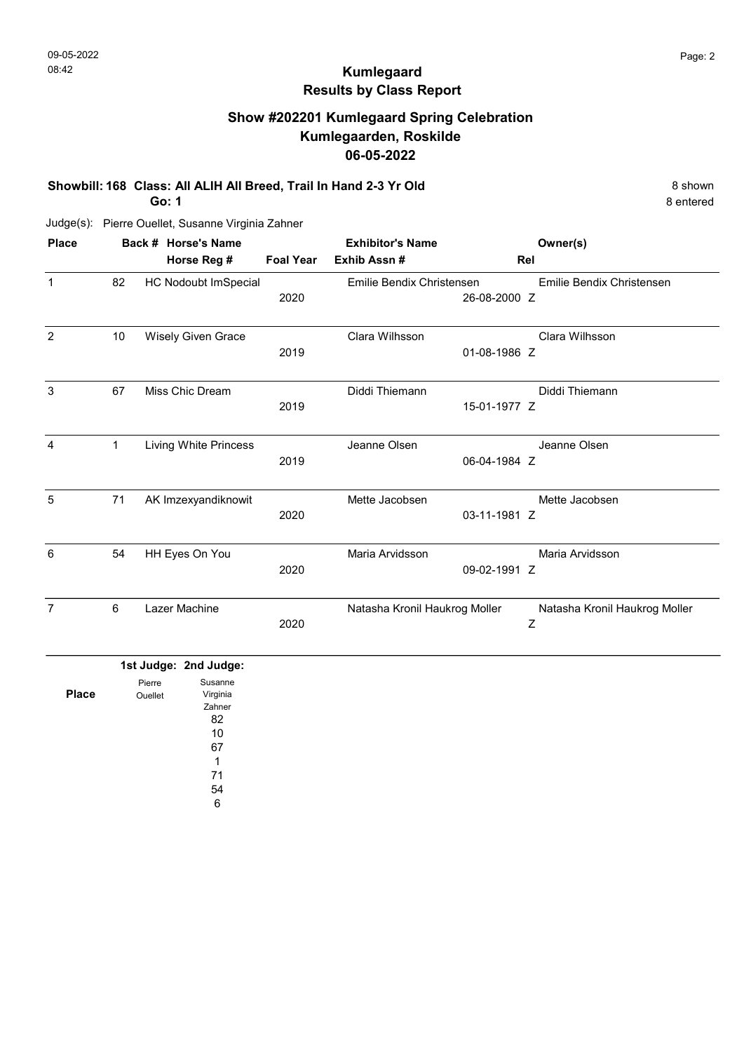# Show #202201 Kumlegaard Spring Celebration Kumlegaarden, Roskilde 06-05-2022

Showbill: 168 Class: All ALIH All Breed, Trail In Hand 2-3 Yr Old 8 shown 8 shown

Go: 1

8 entered

| <b>Place</b>   |    | Back # Horse's Name          |                  | <b>Exhibitor's Name</b>       |              | Owner(s)                      |
|----------------|----|------------------------------|------------------|-------------------------------|--------------|-------------------------------|
|                |    | Horse Reg #                  | <b>Foal Year</b> | Exhib Assn #                  |              | Rel                           |
| $\mathbf{1}$   | 82 | <b>HC Nodoubt ImSpecial</b>  |                  | Emilie Bendix Christensen     |              | Emilie Bendix Christensen     |
|                |    |                              | 2020             |                               | 26-08-2000 Z |                               |
| $\overline{2}$ | 10 | Wisely Given Grace           |                  | Clara Wilhsson                |              | Clara Wilhsson                |
|                |    |                              | 2019             |                               | 01-08-1986 Z |                               |
| 3              | 67 | Miss Chic Dream              |                  | Diddi Thiemann                |              | Diddi Thiemann                |
|                |    |                              | 2019             |                               | 15-01-1977 Z |                               |
| 4              | 1  | <b>Living White Princess</b> |                  | Jeanne Olsen                  |              | Jeanne Olsen                  |
|                |    |                              | 2019             |                               | 06-04-1984 Z |                               |
| 5              | 71 | AK Imzexyandiknowit          |                  | Mette Jacobsen                |              | Mette Jacobsen                |
|                |    |                              | 2020             |                               | 03-11-1981 Z |                               |
| 6              | 54 | HH Eyes On You               |                  | Maria Arvidsson               |              | Maria Arvidsson               |
|                |    |                              | 2020             |                               | 09-02-1991 Z |                               |
| 7              | 6  | Lazer Machine                |                  | Natasha Kronil Haukrog Moller |              | Natasha Kronil Haukrog Moller |
|                |    |                              | 2020             |                               |              | Z                             |

|              | 1st Judge: 2nd Judge: |    |
|--------------|-----------------------|----|
|              | Pierre                |    |
| <b>Place</b> | Ouellet               |    |
|              |                       |    |
|              |                       |    |
|              |                       |    |
|              |                       |    |
|              |                       |    |
|              |                       | 71 |
|              |                       | 54 |
|              |                       | 6  |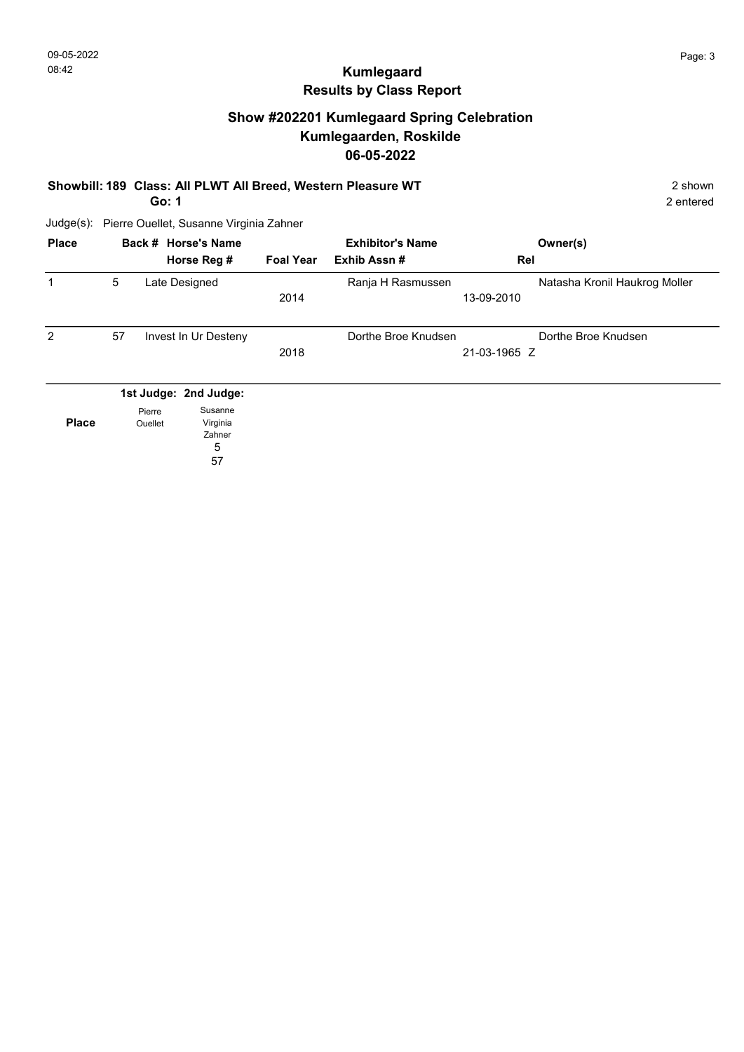### Show #202201 Kumlegaard Spring Celebration Kumlegaarden, Roskilde 06-05-2022

#### Showbill: 189 Class: All PLWT All Breed, Western Pleasure WT 2 Shown

Go: 1

2 entered

| <b>Place</b> |    |                   | Back # Horse's Name<br>Horse Reg #                                | <b>Foal Year</b> | <b>Exhibitor's Name</b><br>Exhib Assn# | Rel          | Owner(s)                      |
|--------------|----|-------------------|-------------------------------------------------------------------|------------------|----------------------------------------|--------------|-------------------------------|
| 1            | 5  |                   | Late Designed                                                     | 2014             | Ranja H Rasmussen                      | 13-09-2010   | Natasha Kronil Haukrog Moller |
| 2            | 57 |                   | Invest In Ur Desteny                                              | 2018             | Dorthe Broe Knudsen                    | 21-03-1965 Z | Dorthe Broe Knudsen           |
| <b>Place</b> |    | Pierre<br>Ouellet | 1st Judge: 2nd Judge:<br>Susanne<br>Virginia<br>Zahner<br>5<br>57 |                  |                                        |              |                               |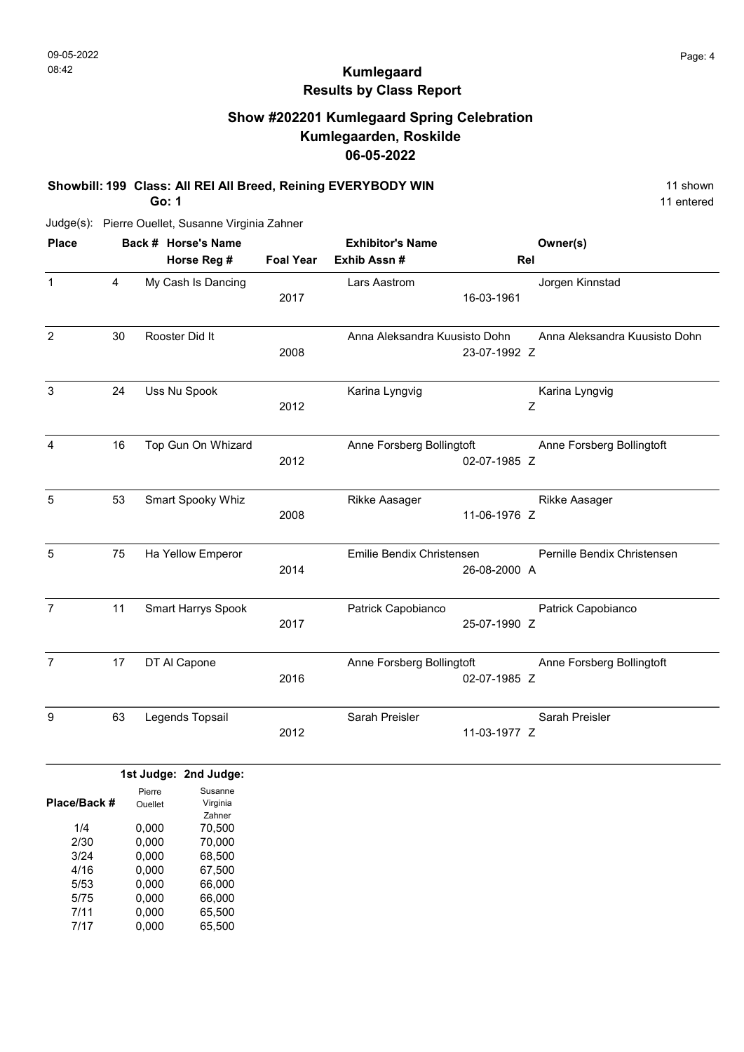# Show #202201 Kumlegaard Spring Celebration Kumlegaarden, Roskilde 06-05-2022

#### Showbill: 199 Class: All REI All Breed, Reining EVERYBODY WIN 11 Shown 11 shown

Go: 1

11 entered

Judge(s): Pierre Ouellet, Susanne Virginia Zahner

| <b>Place</b>                                |    |                                                       | Back # Horse's Name                                                   |                  | <b>Exhibitor's Name</b>       |              | Owner(s)                      |
|---------------------------------------------|----|-------------------------------------------------------|-----------------------------------------------------------------------|------------------|-------------------------------|--------------|-------------------------------|
|                                             |    |                                                       | Horse Reg #                                                           | <b>Foal Year</b> | Exhib Assn #                  |              | Rel                           |
| $\mathbf{1}$                                | 4  |                                                       | My Cash Is Dancing                                                    | 2017             | Lars Aastrom                  | 16-03-1961   | Jorgen Kinnstad               |
| $\overline{2}$                              | 30 |                                                       | Rooster Did It                                                        | 2008             | Anna Aleksandra Kuusisto Dohn | 23-07-1992 Z | Anna Aleksandra Kuusisto Dohn |
| $\ensuremath{\mathsf{3}}$                   | 24 |                                                       | Uss Nu Spook                                                          | 2012             | Karina Lyngvig                |              | Karina Lyngvig<br>Z           |
| 4                                           | 16 |                                                       | Top Gun On Whizard                                                    | 2012             | Anne Forsberg Bollingtoft     | 02-07-1985 Z | Anne Forsberg Bollingtoft     |
| 5                                           | 53 |                                                       | Smart Spooky Whiz                                                     | 2008             | Rikke Aasager                 | 11-06-1976 Z | Rikke Aasager                 |
| 5                                           | 75 |                                                       | Ha Yellow Emperor                                                     | 2014             | Emilie Bendix Christensen     | 26-08-2000 A | Pernille Bendix Christensen   |
| $\overline{7}$                              | 11 |                                                       | <b>Smart Harrys Spook</b>                                             | 2017             | Patrick Capobianco            | 25-07-1990 Z | Patrick Capobianco            |
| $\overline{7}$                              | 17 |                                                       | DT AI Capone                                                          |                  | Anne Forsberg Bollingtoft     | 02-07-1985 Z | Anne Forsberg Bollingtoft     |
| 9                                           | 63 |                                                       | Legends Topsail                                                       | 2012             | Sarah Preisler                | 11-03-1977 Z | Sarah Preisler                |
|                                             |    |                                                       | 1st Judge: 2nd Judge:                                                 |                  |                               |              |                               |
| Place/Back #<br>1/4<br>2/30<br>3/24<br>4/16 |    | Pierre<br>Ouellet<br>0,000<br>0,000<br>0,000<br>0,000 | Susanne<br>Virginia<br>Zahner<br>70,500<br>70,000<br>68,500<br>67,500 |                  |                               |              |                               |
| 5/53                                        |    | 0.000                                                 | 66.000                                                                |                  |                               |              |                               |

0,000 0,000 66,000 5/53 5/75

0,000 65,500 7/11

0,000 65,500 7/17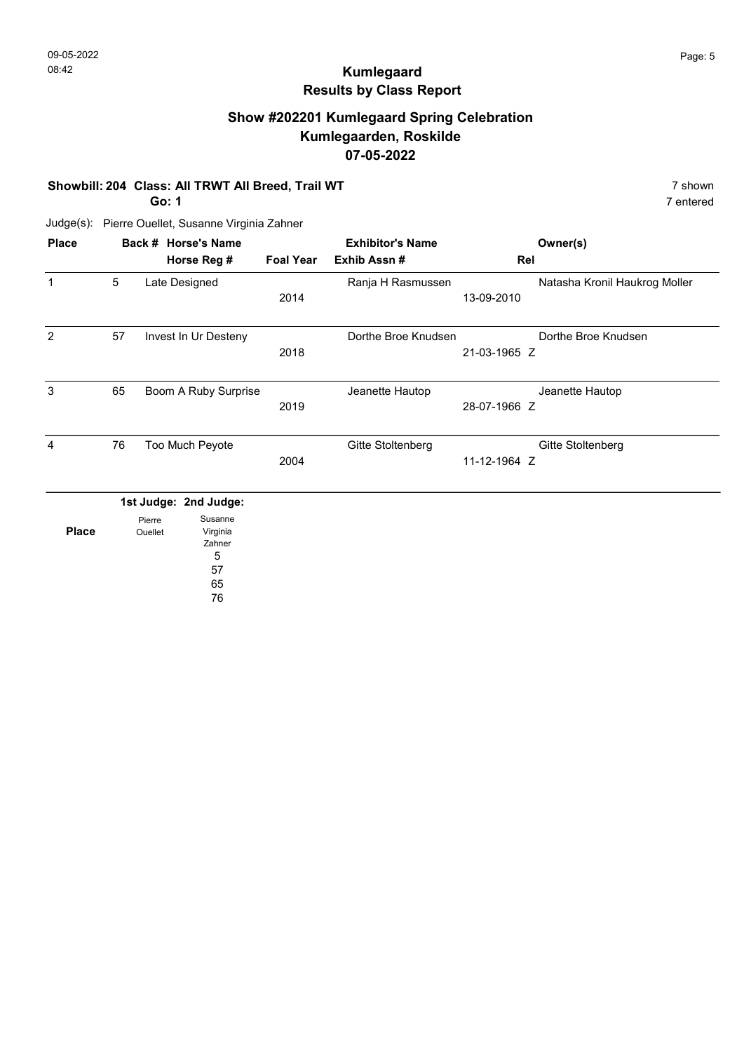## Show #202201 Kumlegaard Spring Celebration Kumlegaarden, Roskilde 07-05-2022

#### Showbill: 204 Class: All TRWT All Breed, Trail WT 7 Shown 7 shown

Go: 1

7 entered

| <b>Place</b> | Back # Horse's Name |                   |                                                      | <b>Exhibitor's Name</b> |                     |              | Owner(s)                      |
|--------------|---------------------|-------------------|------------------------------------------------------|-------------------------|---------------------|--------------|-------------------------------|
|              |                     |                   | Horse Reg #                                          | <b>Foal Year</b>        | Exhib Assn #        | Rel          |                               |
| $\mathbf 1$  | 5                   |                   | Late Designed                                        | 2014                    | Ranja H Rasmussen   | 13-09-2010   | Natasha Kronil Haukrog Moller |
| 2            | 57                  |                   | Invest In Ur Desteny                                 | 2018                    | Dorthe Broe Knudsen | 21-03-1965 Z | Dorthe Broe Knudsen           |
| 3            | 65                  |                   | Boom A Ruby Surprise                                 | 2019                    | Jeanette Hautop     | 28-07-1966 Z | Jeanette Hautop               |
| 4            | 76                  |                   | Too Much Peyote                                      | 2004                    | Gitte Stoltenberg   | 11-12-1964 Z | Gitte Stoltenberg             |
|              |                     |                   | 1st Judge: 2nd Judge:                                |                         |                     |              |                               |
| <b>Place</b> |                     | Pierre<br>Ouellet | Susanne<br>Virginia<br>Zahner<br>5<br>57<br>65<br>76 |                         |                     |              |                               |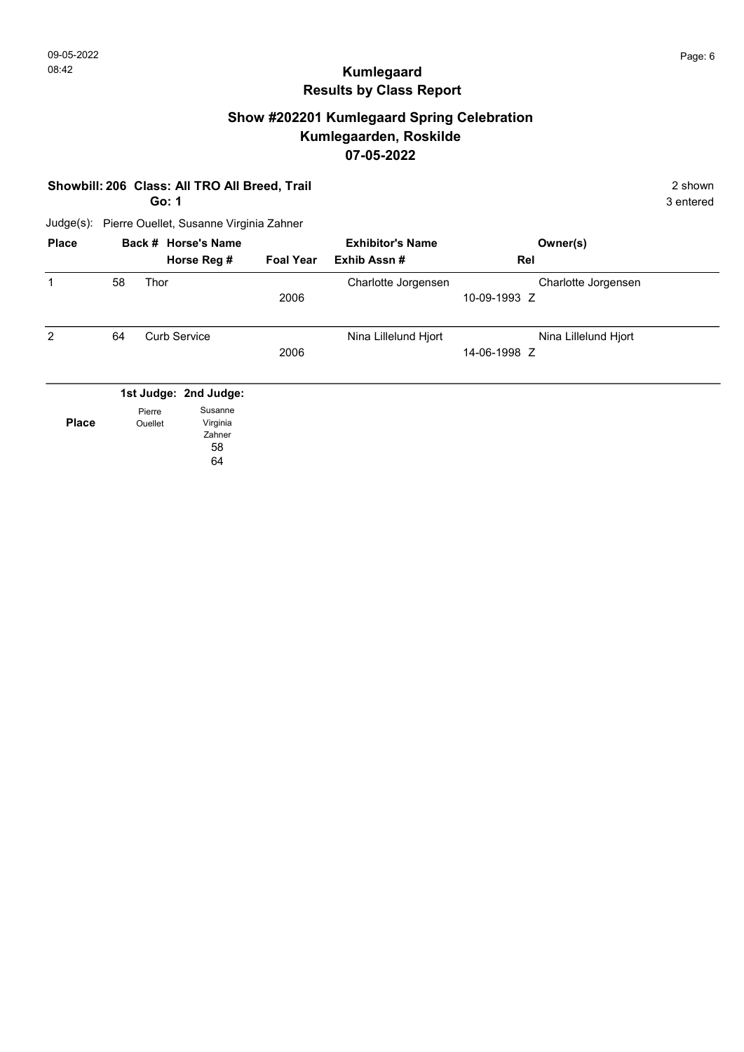## Show #202201 Kumlegaard Spring Celebration Kumlegaarden, Roskilde 07-05-2022

| Showbill: 206 Class: All TRO All Breed, Trail |    | 2 shown<br>3 entered     |                                                                    |                  |                         |                                      |  |
|-----------------------------------------------|----|--------------------------|--------------------------------------------------------------------|------------------|-------------------------|--------------------------------------|--|
| Judge(s):                                     |    |                          | Pierre Ouellet, Susanne Virginia Zahner                            |                  |                         |                                      |  |
| <b>Place</b>                                  |    |                          | Back # Horse's Name                                                |                  | <b>Exhibitor's Name</b> | Owner(s)                             |  |
|                                               |    |                          | Horse Reg #                                                        | <b>Foal Year</b> | Exhib Assn#             | Rel                                  |  |
| 1                                             | 58 | <b>Thor</b>              |                                                                    | 2006             | Charlotte Jorgensen     | Charlotte Jorgensen<br>10-09-1993 Z  |  |
| 2                                             | 64 |                          | <b>Curb Service</b>                                                | 2006             | Nina Lillelund Hjort    | Nina Lillelund Hjort<br>14-06-1998 Z |  |
| <b>Place</b>                                  |    | Pierre<br><b>Ouellet</b> | 1st Judge: 2nd Judge:<br>Susanne<br>Virginia<br>Zahner<br>58<br>64 |                  |                         |                                      |  |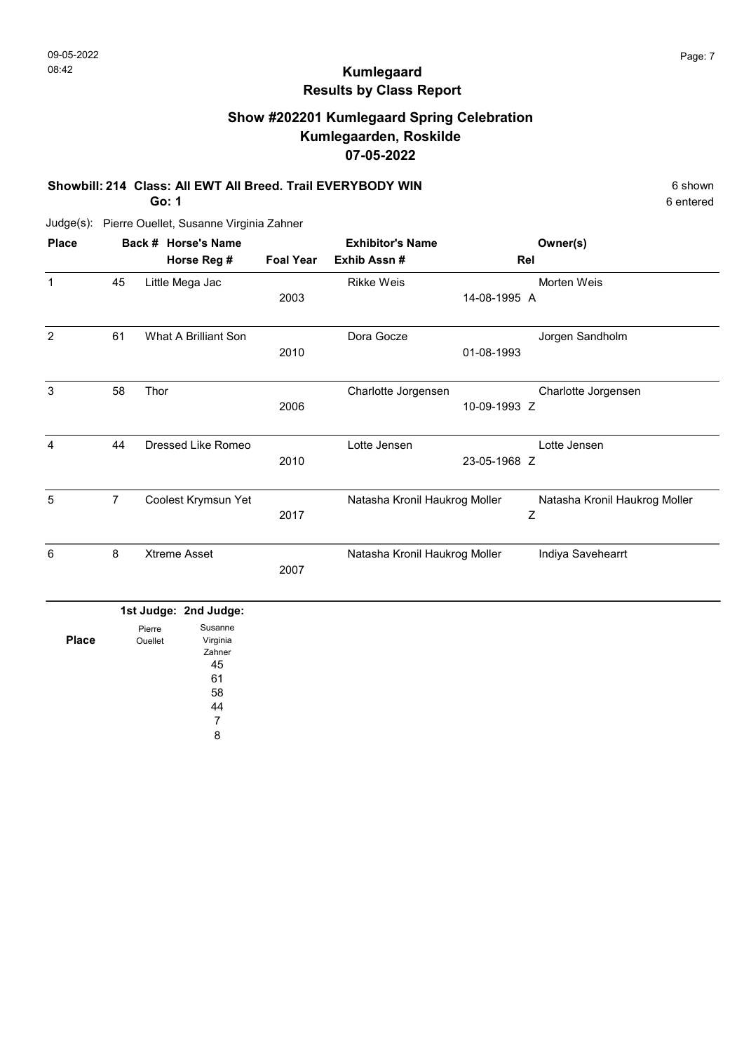# Show #202201 Kumlegaard Spring Celebration Kumlegaarden, Roskilde 07-05-2022

#### Showbill: 214 Class: All EWT All Breed. Trail EVERYBODY WIN 6 Shown 6 shown

Go: 1

Judge(s): Pierre Ouellet, Susanne Virginia Zahner

| <b>Place</b> |                | Back # Horse's Name   | <b>Exhibitor's Name</b> |                               | Owner(s)                      |
|--------------|----------------|-----------------------|-------------------------|-------------------------------|-------------------------------|
|              |                | Horse Reg #           | <b>Foal Year</b>        | Exhib Assn#                   | Rel                           |
| $\mathbf{1}$ | 45             | Little Mega Jac       |                         | <b>Rikke Weis</b>             | Morten Weis                   |
|              |                |                       | 2003                    |                               | 14-08-1995 A                  |
| 2            | 61             | What A Brilliant Son  |                         | Dora Gocze                    | Jorgen Sandholm               |
|              |                |                       | 2010                    |                               | 01-08-1993                    |
| 3            | 58             | Thor                  |                         | Charlotte Jorgensen           | Charlotte Jorgensen           |
|              |                |                       | 2006                    |                               | 10-09-1993 Z                  |
| 4            | 44             | Dressed Like Romeo    |                         | Lotte Jensen                  | Lotte Jensen                  |
|              |                |                       | 2010                    |                               | 23-05-1968 Z                  |
| 5            | $\overline{7}$ | Coolest Krymsun Yet   |                         | Natasha Kronil Haukrog Moller | Natasha Kronil Haukrog Moller |
|              |                |                       | 2017                    |                               | Z                             |
| 6            | 8              | <b>Xtreme Asset</b>   |                         | Natasha Kronil Haukrog Moller | Indiya Savehearrt             |
|              |                |                       | 2007                    |                               |                               |
|              |                | 1st Judge: 2nd Judge: |                         |                               |                               |
|              |                | Susanne<br>Diorro     |                         |                               |                               |

|              | Pierre  | Susanne  |
|--------------|---------|----------|
| <b>Place</b> | Ouellet | Virginia |
|              |         | Zahner   |
|              |         | 45       |
|              |         | 61       |
|              |         | 58       |
|              |         | 44       |
|              |         |          |
|              |         | 8        |

6 entered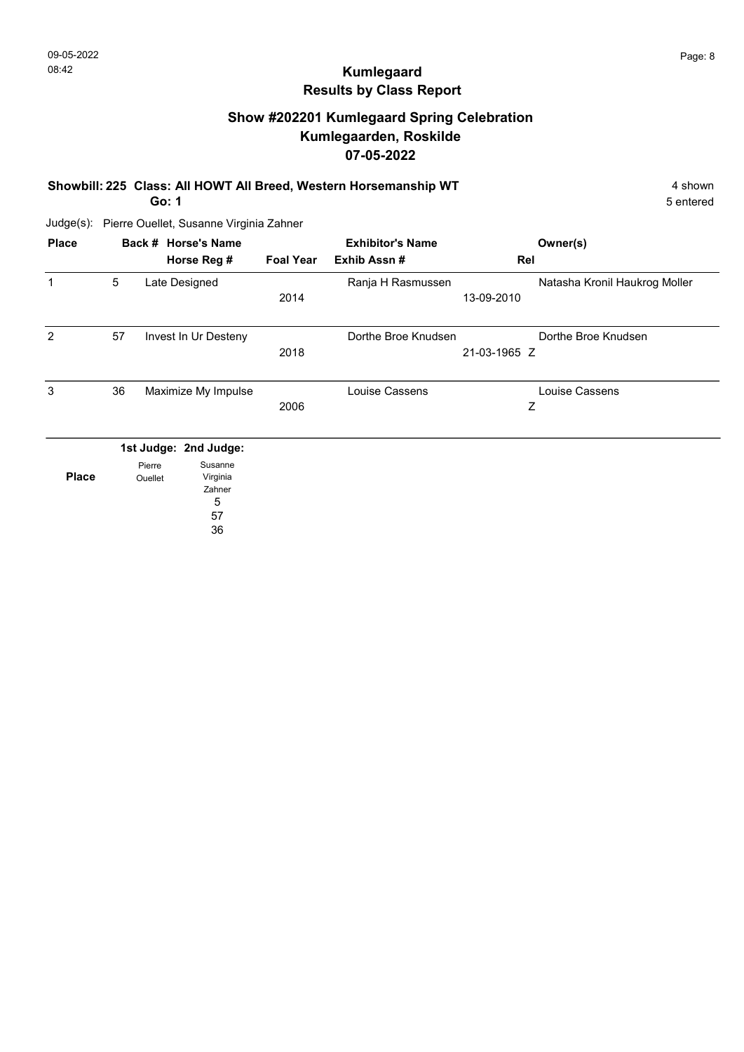# Show #202201 Kumlegaard Spring Celebration Kumlegaarden, Roskilde 07-05-2022

Showbill: 225 Class: All HOWT All Breed, Western Horsemanship WT 4 shown

Go: 1

5 entered

Judge(s): Pierre Ouellet, Susanne Virginia Zahner

|    |                   |                                    | <b>Foal Year</b>                                                                                                                  | <b>Exhibitor's Name</b><br>Exhib Assn# | Owner(s)<br>Rel     |                                       |
|----|-------------------|------------------------------------|-----------------------------------------------------------------------------------------------------------------------------------|----------------------------------------|---------------------|---------------------------------------|
| 5  |                   |                                    | 2014                                                                                                                              | Ranja H Rasmussen                      | 13-09-2010          | Natasha Kronil Haukrog Moller         |
| 57 |                   |                                    | 2018                                                                                                                              |                                        | 21-03-1965 Z        |                                       |
| 36 |                   |                                    | 2006                                                                                                                              | Louise Cassens                         | Ζ                   |                                       |
|    | Pierre<br>Ouellet | Susanne<br>Virginia<br>Zahner<br>5 |                                                                                                                                   |                                        |                     |                                       |
|    |                   |                                    | Back # Horse's Name<br>Horse Reg #<br>Late Designed<br>Invest In Ur Desteny<br>Maximize My Impulse<br>1st Judge: 2nd Judge:<br>57 |                                        | Dorthe Broe Knudsen | Dorthe Broe Knudsen<br>Louise Cassens |

36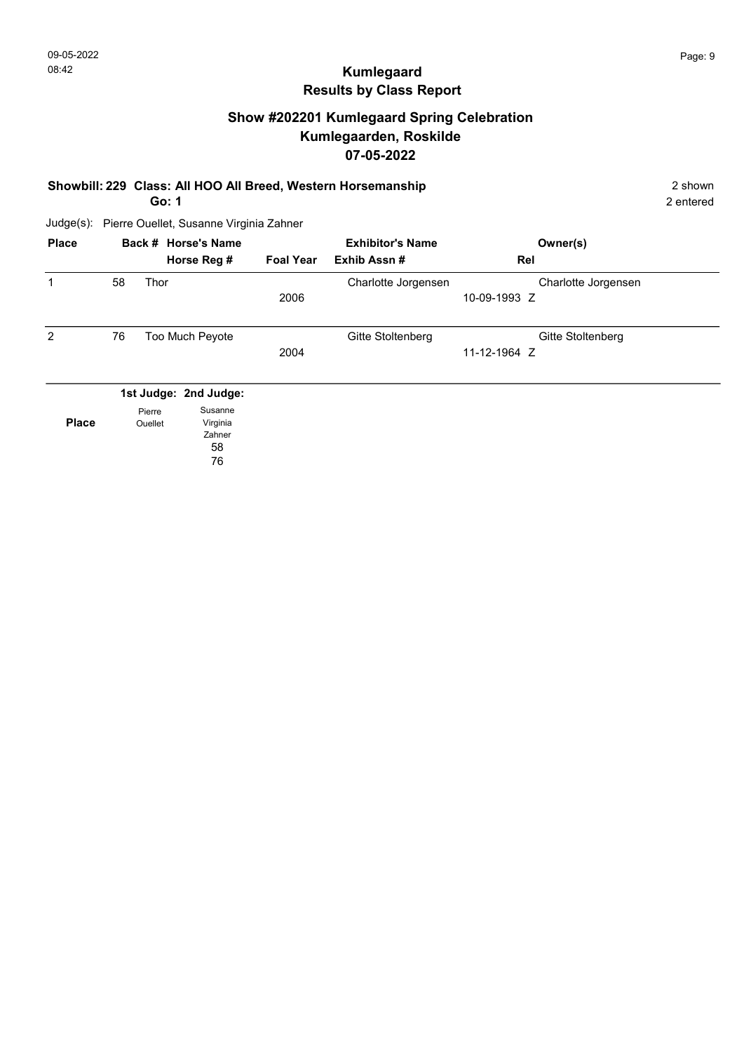# Show #202201 Kumlegaard Spring Celebration Kumlegaarden, Roskilde 07-05-2022

#### Showbill: 229 Class: All HOO All Breed, Western Horsemanship 2 shown

Go: 1

2 entered

| <b>Place</b> |    |         | Back # Horse's Name<br>Horse Reg # | <b>Foal Year</b> | <b>Exhibitor's Name</b><br>Exhib Assn# | Owner(s)<br>Rel                     |  |
|--------------|----|---------|------------------------------------|------------------|----------------------------------------|-------------------------------------|--|
| 1            | 58 | Thor    |                                    | 2006             | Charlotte Jorgensen                    | Charlotte Jorgensen<br>10-09-1993 Z |  |
| 2            | 76 |         | Too Much Peyote                    | 2004             | Gitte Stoltenberg                      | Gitte Stoltenberg<br>11-12-1964 Z   |  |
|              |    | Pierre  | 1st Judge: 2nd Judge:<br>Susanne   |                  |                                        |                                     |  |
| <b>Place</b> |    | Ouellet | Virginia<br>Zahner<br>58<br>76     |                  |                                        |                                     |  |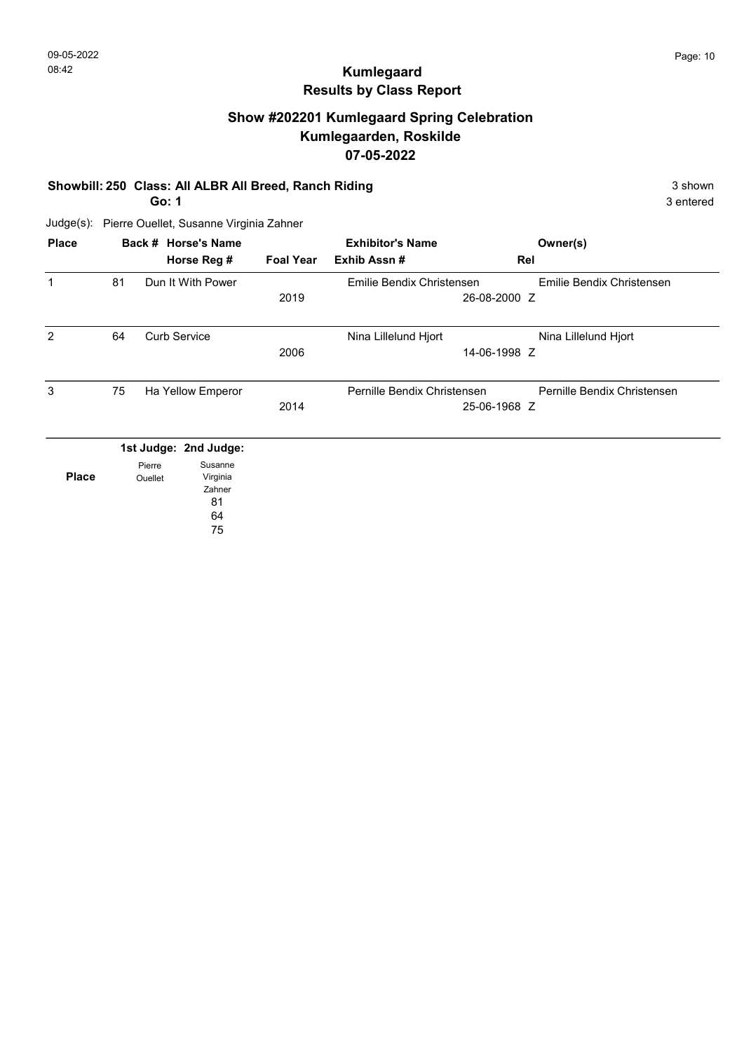## Show #202201 Kumlegaard Spring Celebration Kumlegaarden, Roskilde 07-05-2022

#### Showbill: 250 Class: All ALBR All Breed, Ranch Riding 3 Shown 3 shown

Go: 1

3 entered

Judge(s): Pierre Ouellet, Susanne Virginia Zahner

| <b>Place</b> |    |                          | Back # Horse's Name<br>Horse Reg #                                 | <b>Foal Year</b> | <b>Exhibitor's Name</b><br>Exhib Assn# | Rel          | Owner(s)                    |
|--------------|----|--------------------------|--------------------------------------------------------------------|------------------|----------------------------------------|--------------|-----------------------------|
| 1            | 81 |                          | Dun It With Power                                                  | 2019             | Emilie Bendix Christensen              | 26-08-2000 Z | Emilie Bendix Christensen   |
| 2            | 64 |                          | <b>Curb Service</b>                                                | 2006             | Nina Lillelund Hjort                   | 14-06-1998 Z | Nina Lillelund Hjort        |
| 3            | 75 |                          | Ha Yellow Emperor                                                  | 2014             | Pernille Bendix Christensen            | 25-06-1968 Z | Pernille Bendix Christensen |
| <b>Place</b> |    | Pierre<br><b>Ouellet</b> | 1st Judge: 2nd Judge:<br>Susanne<br>Virginia<br>Zahner<br>81<br>64 |                  |                                        |              |                             |

75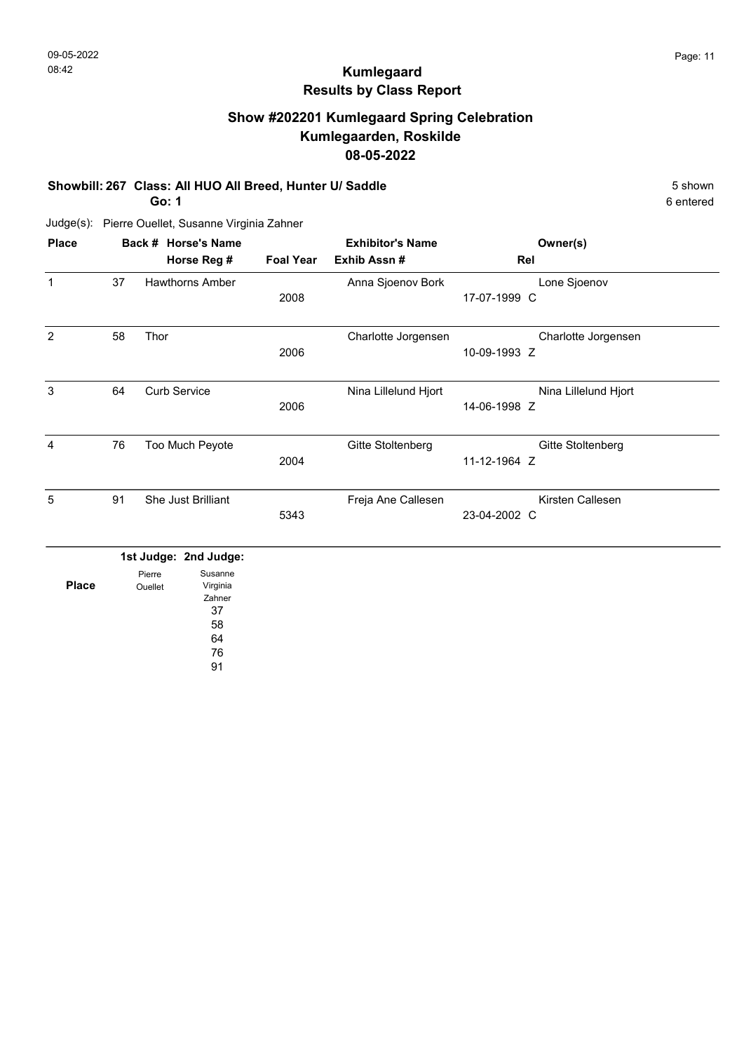6 entered

# Kumlegaard Results by Class Report

# Show #202201 Kumlegaard Spring Celebration Kumlegaarden, Roskilde 08-05-2022

#### Showbill: 267 Class: All HUO All Breed, Hunter U/ Saddle 5 Shown

Go: 1

| <b>Place</b>   |    | Back # Horse's Name    |                  | <b>Exhibitor's Name</b> | Owner(s)             |  |
|----------------|----|------------------------|------------------|-------------------------|----------------------|--|
|                |    | Horse Reg #            | <b>Foal Year</b> | Exhib Assn#             | Rel                  |  |
| 1              | 37 | <b>Hawthorns Amber</b> |                  | Anna Sjoenov Bork       | Lone Sjoenov         |  |
|                |    |                        | 2008             |                         | 17-07-1999 C         |  |
| $\overline{2}$ | 58 | Thor                   |                  | Charlotte Jorgensen     | Charlotte Jorgensen  |  |
|                |    |                        | 2006             |                         | 10-09-1993 Z         |  |
| 3              | 64 | <b>Curb Service</b>    |                  | Nina Lillelund Hjort    | Nina Lillelund Hjort |  |
|                |    |                        | 2006             |                         | 14-06-1998 Z         |  |
| 4              | 76 | Too Much Peyote        |                  | Gitte Stoltenberg       | Gitte Stoltenberg    |  |
|                |    |                        | 2004             |                         | 11-12-1964 Z         |  |
| 5              | 91 | She Just Brilliant     |                  | Freja Ane Callesen      | Kirsten Callesen     |  |
|                |    |                        | 5343             |                         | 23-04-2002 C         |  |

|              |         | 1st Judge: 2nd Judge: |
|--------------|---------|-----------------------|
|              | Pierre  | Susanne               |
| <b>Place</b> | Ouellet | Virginia              |
|              |         | Zahner                |
|              |         | 37                    |
|              |         | 58                    |
|              |         | 64                    |
|              |         | 76                    |
|              |         |                       |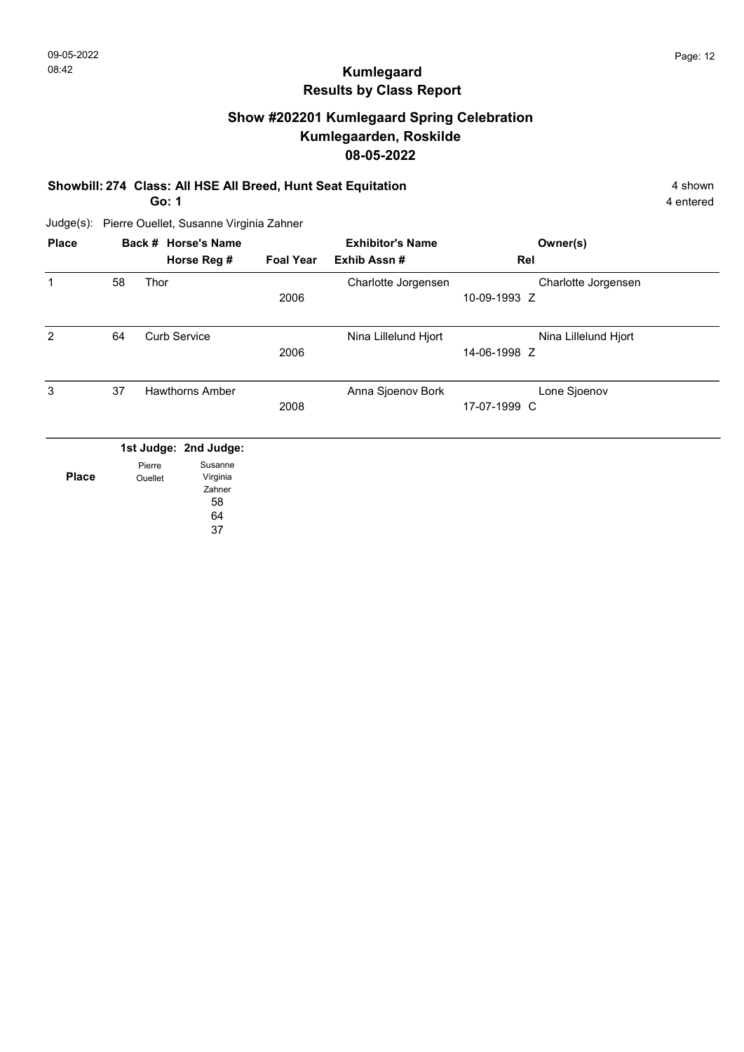# Show #202201 Kumlegaard Spring Celebration Kumlegaarden, Roskilde 08-05-2022

#### Showbill: 274 Class: All HSE All Breed, Hunt Seat Equitation 4 shown 4 shown

Go: 1

4 entered

Judge(s): Pierre Ouellet, Susanne Virginia Zahner

| <b>Place</b> |                       |         | Back # Horse's Name    |                  | <b>Exhibitor's Name</b> | Owner(s)             |  |
|--------------|-----------------------|---------|------------------------|------------------|-------------------------|----------------------|--|
|              |                       |         | Horse Reg #            | <b>Foal Year</b> | Exhib Assn#             | Rel                  |  |
| 1            | 58                    | Thor    |                        |                  | Charlotte Jorgensen     | Charlotte Jorgensen  |  |
|              |                       |         |                        | 2006             |                         | 10-09-1993 Z         |  |
| 2            | 64                    |         | <b>Curb Service</b>    |                  | Nina Lillelund Hjort    | Nina Lillelund Hjort |  |
|              |                       |         |                        | 2006             |                         | 14-06-1998 Z         |  |
| 3            | 37                    |         | <b>Hawthorns Amber</b> |                  | Anna Sjoenov Bork       | Lone Sjoenov         |  |
|              |                       |         |                        | 2008             |                         | 17-07-1999 C         |  |
|              | 1st Judge: 2nd Judge: |         |                        |                  |                         |                      |  |
|              |                       | Pierre  | Susanne                |                  |                         |                      |  |
| <b>Place</b> |                       | Ouellet | Virginia               |                  |                         |                      |  |
|              |                       |         | Zahner<br>58           |                  |                         |                      |  |
|              |                       |         |                        |                  |                         |                      |  |
|              |                       |         | 64                     |                  |                         |                      |  |

37